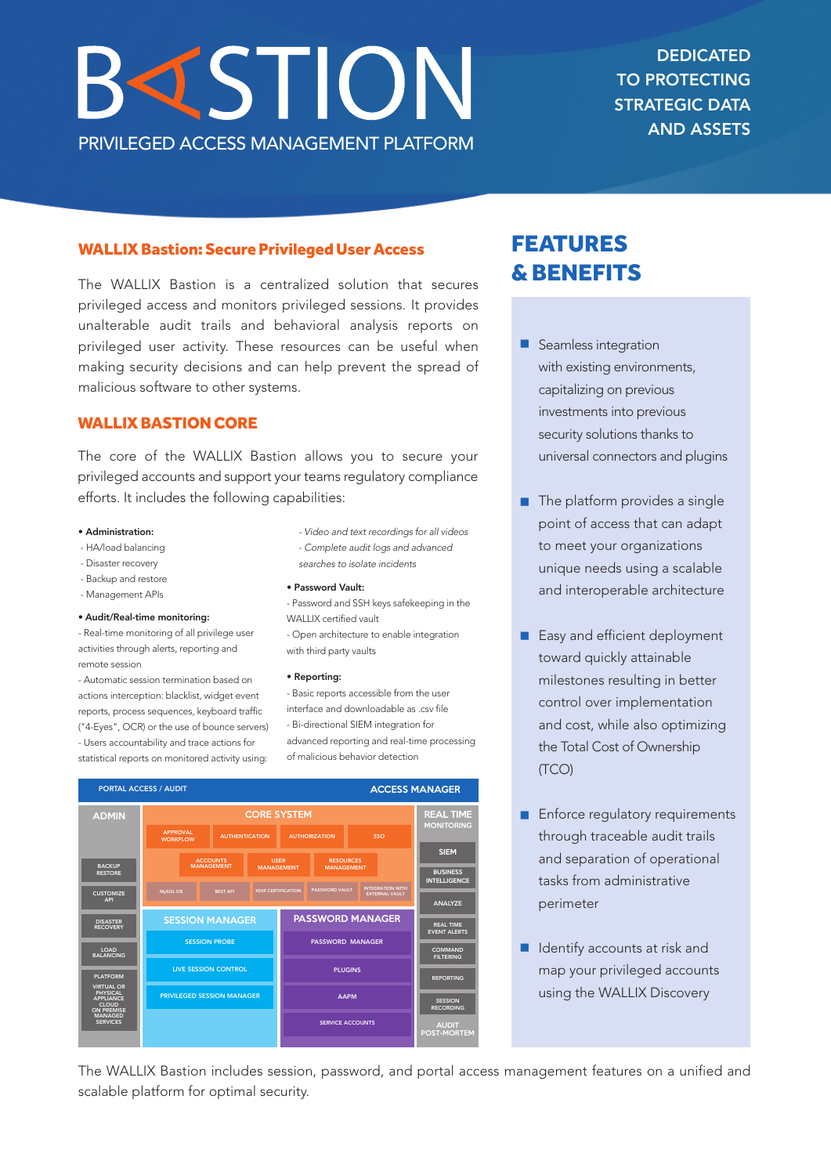# **BISTION** PRIVILEGED ACCESS MANAGEMENT PLATFORM

**DEDICATED** TO PROTECTING STRATEGIC DATA AND ASSETS

# WALLIX Bastion: Secure Privileged User Access

The WALLIX Bastion is a centralized solution that secures privileged access and monitors privileged sessions. It provides unalterable audit trails and behavioral analysis reports on privileged user activity. These resources can be useful when making security decisions and can help prevent the spread of malicious software to other systems.

# **WALLIX BASTION CORE**

The core of the WALLIX Bastion allows you to secure your privileged accounts and support your teams regulatory compliance efforts. It includes the following capabilities:

#### • Administration:

- HA/load balancing
- Disaster recovery
- Backup and restore
- Management APIs

## • Audit/Real-time monitoring:

- Real-time monitoring of all privilege user activities through alerts, reporting and remote session

- Automatic session termination based on actions interception: blacklist, widget event reports, process sequences, keyboard traffic ("4-Eyes", OCR) or the use of bounce servers) - Users accountability and trace actions for statistical reports on monitored activity using:

- *- Video and text recordings for all videos*
- *- Complete audit logs and advanced searches to isolate incidents*
- Password Vault:
- Password and SSH keys safekeeping in the WALLIX certified vault
- Open architecture to enable integration with third party vaults

#### • Reporting:

- Basic reports accessible from the user interface and downloadable as .csv file - Bi-directional SIEM integration for advanced reporting and real-time processing of malicious behavior detection



# FEATURES &BENEFITS

- **n** Seamless integration with existing environments, capitalizing on previous investments into previous security solutions thanks to universal connectors and plugins
- The platform provides a single point of access that can adapt to meet your organizations unique needs using a scalable and interoperable architecture
- Easy and efficient deployment toward quickly attainable milestones resulting in better control over implementation and cost, while also optimizing the Total Cost of Ownership (TCO)
- **Enforce regulatory requirements** through traceable audit trails and separation of operational tasks from administrative perimeter
- Identify accounts at risk and map your privileged accounts using the WALLIX Discovery

The WALLIX Bastion includes session, password, and portal access management features on a unified and scalable platform for optimal security.